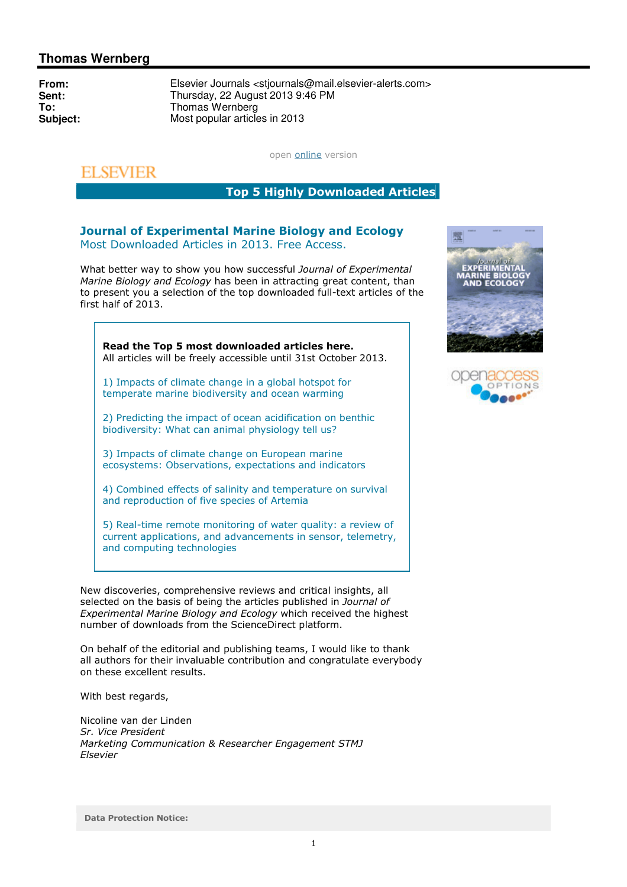## **Thomas Wernberg**

**From:** Elsevier Journals <stjournals@mail.elsevier-alerts.com><br> **Sent:** Thursday, 22 August 2013 9:46 PM **Sent:** Thursday, 22 August 2013 9:46 PM **To:** Thomas Wernberg<br> **Subject:** Most popular article **Subject:** Most popular articles in 2013

open **online** version

## **ELSEVIER**

Top 5 Highly Downloaded Articles

## Journal of Experimental Marine Biology and Ecology Most Downloaded Articles in 2013. Free Access.

What better way to show you how successful Journal of Experimental Marine Biology and Ecology has been in attracting great content, than to present you a selection of the top downloaded full-text articles of the first half of 2013.

Read the Top 5 most downloaded articles here. All articles will be freely accessible until 31st October 2013.

1) Impacts of climate change in a global hotspot for temperate marine biodiversity and ocean warming

2) Predicting the impact of ocean acidification on benthic biodiversity: What can animal physiology tell us?

3) Impacts of climate change on European marine ecosystems: Observations, expectations and indicators

4) Combined effects of salinity and temperature on survival and reproduction of five species of Artemia

5) Real-time remote monitoring of water quality: a review of current applications, and advancements in sensor, telemetry, and computing technologies

New discoveries, comprehensive reviews and critical insights, all selected on the basis of being the articles published in Journal of Experimental Marine Biology and Ecology which received the highest number of downloads from the ScienceDirect platform.

On behalf of the editorial and publishing teams, I would like to thank all authors for their invaluable contribution and congratulate everybody on these excellent results.

With best regards,

Nicoline van der Linden Sr. Vice President Marketing Communication & Researcher Engagement STMJ Elsevier



| openacco |
|----------|
| OPTIONS  |
|          |